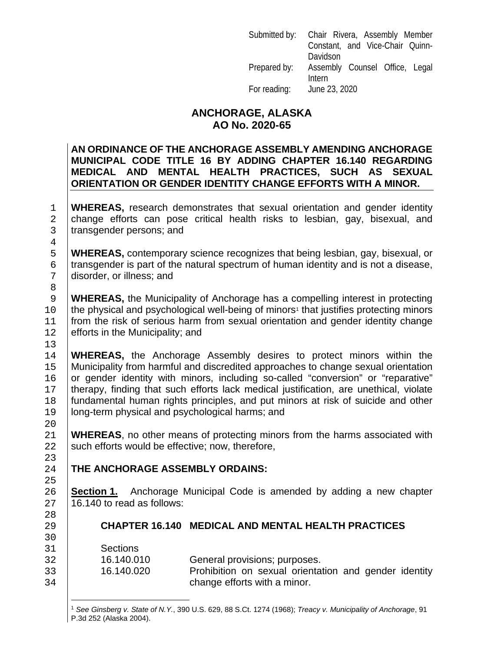|              | Submitted by: Chair Rivera, Assembly Member |
|--------------|---------------------------------------------|
|              | Constant, and Vice-Chair Quinn-             |
|              | Davidson                                    |
| Prepared by: | Assembly Counsel Office, Legal              |
|              | Intern                                      |
| For reading: | June 23, 2020                               |

#### **ANCHORAGE, ALASKA AO No. 2020-65**

#### **AN ORDINANCE OF THE ANCHORAGE ASSEMBLY AMENDING ANCHORAGE MUNICIPAL CODE TITLE 16 BY ADDING CHAPTER 16.140 REGARDING MEDICAL AND MENTAL HEALTH PRACTICES, SUCH AS SEXUAL ORIENTATION OR GENDER IDENTITY CHANGE EFFORTS WITH A MINOR.**

1 **WHEREAS,** research demonstrates that sexual orientation and gender identity 2 change efforts can pose critical health risks to lesbian, gay, bisexual, and transgender persons; and transgender persons; and

5 **WHEREAS**, contemporary science recognizes that being lesbian, gay, bisexual, or<br>6 transgender is part of the natural spectrum of human identity and is not a disease.  $\begin{array}{c} 6 \text{ transgender is part of the natural spectrum of human identity and is not a disease,} \end{array}$ disorder, or illness; and

**WHEREAS**, the Municipality of Anchorage has a compelling interest in protecting <br>the physical and psychological well-being of minors<sup>1</sup> that justifies protecting minors 0 the physical and psychological well-being of minors<sup>1</sup> that justifies protecting minors<br>11 trom the risk of serious harm from sexual orientation and gender identity change  $\left| \right|$  from the risk of serious harm from sexual orientation and gender identity change efforts in the Municipality: and efforts in the Municipality; and

 $\frac{13}{14}$ 14 **WHEREAS,** the Anchorage Assembly desires to protect minors within the 15 **Municipality from harmful and discredited approaches to change sexual orientation** Municipality from harmful and discredited approaches to change sexual orientation 16 or gender identity with minors, including so-called "conversion" or "reparative"<br>17 therapy, finding that such efforts lack medical iustification, are unethical, violate 17 therapy, finding that such efforts lack medical justification, are unethical, violate<br>18 fundamental human rights principles, and put minors at risk of suicide and other 18 fundamental human rights principles, and put minors at risk of suicide and other<br>19 **fundamental burnes** and psychological harms: and long-term physical and psychological harms; and

21 **WHEREAS**, no other means of protecting minors from the harms associated with <br>22 Such efforts would be effective: now, therefore. such efforts would be effective; now, therefore,

#### **THE ANCHORAGE ASSEMBLY ORDAINS:**

26 **Section 1.** Anchorage Municipal Code is amended by adding a new chapter 27 16.140 to read as follows: 16.140 to read as follows:

#### 29 **CHAPTER 16.140 MEDICAL AND MENTAL HEALTH PRACTICES**

31 Sections<br>32 16.140.010

 $\frac{4}{5}$ 

8<br>9

20<br>21

23<br>24

25

28<br>29

30<br>31

<span id="page-0-0"></span>32 16.140.010 General provisions; purposes.<br>33 16.140.020 Prohibition on sexual orienta Prohibition on sexual orientation and gender identity 34 change efforts with a minor.

<sup>1</sup> *See Ginsberg v. State of N.Y.*, 390 U.S. 629, 88 S.Ct. 1274 (1968); *Treacy v. Municipality of Anchorage*, 91 P.3d 252 (Alaska 2004).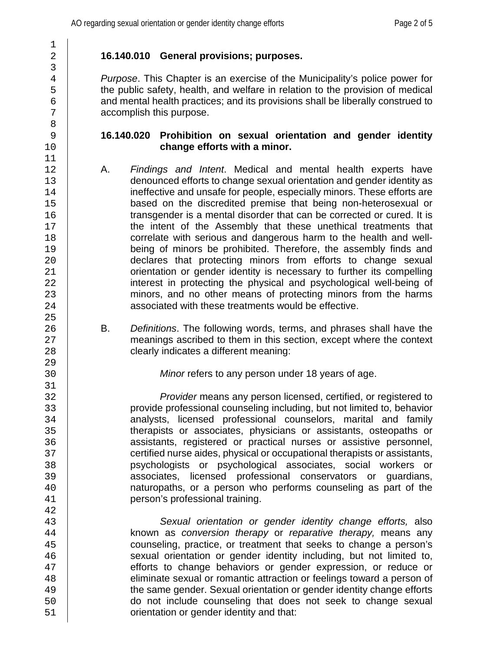# $\frac{1}{2}$ 3 8 11 25<br>26 29<br>30 31 42<br>43

### 2 **16.140.010 General provisions; purposes.**

*A Purpose*. This Chapter is an exercise of the Municipality's police power for the public safety, health, and welfare in relation to the provision of medical 5 the public safety, health, and welfare in relation to the provision of medical<br>6 and mental health practices: and its provisions shall be liberally construed to  $\begin{array}{c|c} 6 & \text{and mental health practices; and its provisions shall be liberally constructed to  
7 & \text{accomplish this purpose.} \end{array}$ accomplish this purpose.

#### 9 **16.140.020 Prohibition on sexual orientation and gender identity**  change efforts with a minor.

- 12 A. *Findings and Intent*. Medical and mental health experts have 13 denounced efforts to change sexual orientation and gender identity as<br>14 ineffective and unsafe for people, especially minors. These efforts are 14 ineffective and unsafe for people, especially minors. These efforts are<br>15 based on the discredited premise that being non-heterosexual or 15 based on the discredited premise that being non-heterosexual or<br>16 transgender is a mental disorder that can be corrected or cured. It is 16 transgender is a mental disorder that can be corrected or cured. It is<br>17 the intent of the Assembly that these unethical treatments that 17 the intent of the Assembly that these unethical treatments that<br>18 correlate with serious and dangerous harm to the health and well-18 correlate with serious and dangerous harm to the health and well-<br>19 being of minors be prohibited. Therefore, the assembly finds and 19 being of minors be prohibited. Therefore, the assembly finds and<br>20 declares that protecting minors from efforts to change sexual 20 declares that protecting minors from efforts to change sexual<br>21 crientation or gender identity is necessary to further its compelling orientation or gender identity is necessary to further its compelling 22 interest in protecting the physical and psychological well-being of<br>23 ind minors, and no other means of protecting minors from the harms minors, and no other means of protecting minors from the harms 24 **b** associated with these treatments would be effective.
- 26 B. *Definitions*. The following words, terms, and phrases shall have the neanings ascribed to them in this section, except where the context 27 meanings ascribed to them in this section, except where the context<br>28 clearly indicates a different meaning: clearly indicates a different meaning:

*Minor* refers to any person under 18 years of age.

32 *Provider* means any person licensed, certified, or registered to 33 provide professional counseling including, but not limited to, behavior 34 canalysts, licensed professional counselors, marital and family<br>35 therapists or associates, physicians or assistants, osteopaths or 35 (35 therapists or associates, physicians or assistants, osteopaths or<br>36 (36 assistants, registered or practical nurses or assistive personnel. 36 assistants, registered or practical nurses or assistive personnel,<br>37 certified nurse aides physical or occupational therapists or assistants. 37 certified nurse aides, physical or occupational therapists or assistants,<br>38 sectios or psychological associates, social workers or 38 psychologists or psychological associates, social workers or 39 associates, licensed professional conservators or guardians,<br>40 constructional maturopaths, or a person who performs counseling as part of the 40 can alturopaths, or a person who performs counseling as part of the and person's professional training. person's professional training.

43 *Sexual orientation or gender identity change efforts,* also 44 known as *conversion therapy* or *reparative therapy,* means any 45 counseling, practice, or treatment that seeks to change a person's<br>46 sexual orientation or gender identity including, but not limited to. sexual orientation or gender identity including, but not limited to, 47 efforts to change behaviors or gender expression, or reduce or<br>48 eliminate sexual or romantic attraction or feelings toward a person of 48 eliminate sexual or romantic attraction or feelings toward a person of<br>49 the same gender. Sexual orientation or gender identity change efforts 49 the same gender. Sexual orientation or gender identity change efforts<br>50 do not include counseling that does not seek to change sexual 50 do not include counseling that does not seek to change sexual<br>51 crientation or gender identity and that: orientation or gender identity and that: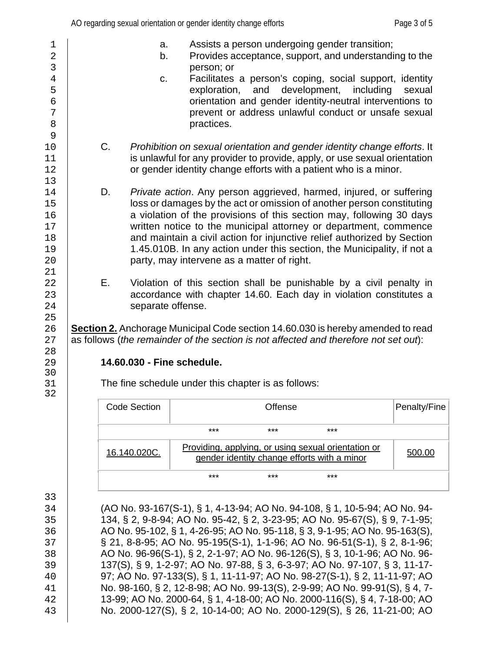- 3 person; or person; or person; or 9<br> $10$  $13$ <br> $14$ 21  $\frac{25}{26}$ 28<br>29 30<br>31
	- 29 **14.60.030 - Fine schedule.**

The fine schedule under this chapter is as follows:

| Code Section |       | Offense |                                                                                                    | Penalty/Fine |
|--------------|-------|---------|----------------------------------------------------------------------------------------------------|--------------|
|              | ***   | $***$   | $***$                                                                                              |              |
| 16.140.020C. |       |         | Providing, applying, or using sexual orientation or<br>gender identity change efforts with a minor | 500.00       |
|              | $***$ | ***     | ***                                                                                                |              |

33

32

 (AO No. 93-167(S-1), § 1, 4-13-94; AO No. 94-108, § 1, 10-5-94; AO No. 94- 134, § 2, 9-8-94; AO No. 95-42, § 2, 3-23-95; AO No. 95-67(S), § 9, 7-1-95; AO No. 95-102, § 1, 4-26-95; AO No. 95-118, § 3, 9-1-95; AO No. 95-163(S), § 21, 8-8-95; AO No. 95-195(S-1), 1-1-96; AO No. 96-51(S-1), § 2, 8-1-96; 38 AO No. 96-96(S-1), § 2, 2-1-97; AO No. 96-126(S), § 3, 10-1-96; AO No. 96-<br>39 137(S), § 9, 1-2-97; AO No. 97-88, § 3, 6-3-97; AO No. 97-107, § 3, 11-17- 137(S), § 9, 1-2-97; AO No. 97-88, § 3, 6-3-97; AO No. 97-107, § 3, 11-17- 97; AO No. 97-133(S), § 1, 11-11-97; AO No. 98-27(S-1), § 2, 11-11-97; AO No. 98-160, § 2, 12-8-98; AO No. 99-13(S), 2-9-99; AO No. 99-91(S), § 4, 7- 13-99; AO No. 2000-64, § 1, 4-18-00; AO No. 2000-116(S), § 4, 7-18-00; AO No. 2000-127(S), § 2, 10-14-00; AO No. 2000-129(S), § 26, 11-21-00; AO

- 2 b. Provides acceptance, support, and understanding to the person; or
- 4 c. Facilitates a person's coping, social support, identity<br>
s exploration, and development, including sexual 5 exploration, and exploration, and denoming sexual exploration, and  $\frac{6}{100}$ 6 contentation and gender identity-neutral interventions to<br>
prevent or address unlawful conduct or unsafe sexual 7 prevent or address unlawful conduct or unsafe sexual prevent or address unlawful conduct or unsafe sexual provide to the prevent or address unlawful conduct or unsafe sexual practices.
- 10 C. *Prohibition on sexual orientation and gender identity change efforts.* It<br>11 Standard Intervencies of provider apply, or use sexual orientation is unlawful for any provider to provide, apply, or use sexual orientation 12 **Fig. 2** or gender identity change efforts with a patient who is a minor.
- 14 D. *Private action*. Any person aggrieved, harmed, injured, or suffering<br>15 loss or damages by the act or omission of another person constituting 15 loss or damages by the act or omission of another person constituting<br>16 a violation of the provisions of this section may, following 30 days 16 a violation of the provisions of this section may, following 30 days<br>17 https://written.notice.to.the.municipal.attorney.or.department,.commence 17 written notice to the municipal attorney or department, commence<br>18 and maintain a civil action for injunctive relief authorized by Section 18 and maintain a civil action for injunctive relief authorized by Section<br>19 1.45.010B. In any action under this section, the Municipality, if not a 19 1.45.010B. In any action under this section, the Municipality, if not a<br>20 party, may intervene as a matter of right. party, may intervene as a matter of right.
- 22 E. Violation of this section shall be punishable by a civil penalty in<br>23 exaccordance with chapter 14.60. Each day in violation constitutes a accordance with chapter 14.60. Each day in violation constitutes a 24 **Separate offense.**

26 **Section 2.** Anchorage Municipal Code section 14.60.030 is hereby amended to read<br>27 as follows (*the remainder of the section is not affected and therefore not set out*): as follows (*the remainder of the section is not affected and therefore not set out*):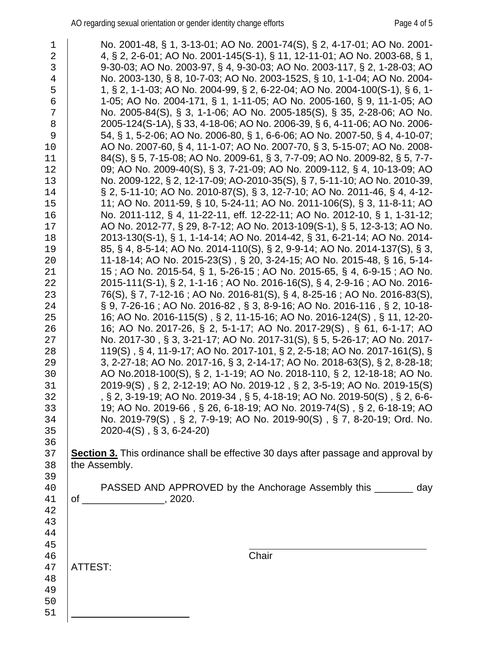1 No. 2001-48, § 1, 3-13-01; AO No. 2001-74(S), § 2, 4-17-01; AO No. 2001-<br>2 4. § 2. 2-6-01: AO No. 2001-145(S-1), § 11, 12-11-01: AO No. 2003-68, § 1, 2 4, § 2, 2-6-01; AO No. 2001-145(S-1), § 11, 12-11-01; AO No. 2003-68, § 1,<br>3 9-30-03; AO No. 2003-97, § 4, 9-30-03; AO No. 2003-117, § 2, 1-28-03; AO 9-30-03; AO No. 2003-97, § 4, 9-30-03; AO No. 2003-117, § 2, 1-28-03; AO 4 No. 2003-130, § 8, 10-7-03; AO No. 2003-152S, § 10, 1-1-04; AO No. 2004-<br>5 1, § 2, 1-1-03; AO No. 2004-99, § 2, 6-22-04; AO No. 2004-100(S-1), § 6, 1- 1, § 2, 1-1-03; AO No. 2004-99, § 2, 6-22-04; AO No. 2004-100(S-1), § 6, 1- 1-05; AO No. 2004-171, § 1, 1-11-05; AO No. 2005-160, § 9, 11-1-05; AO  $\begin{array}{c|c|c|c|c|c|c|c|c} \hline \text{7} & \text{No. } 2005\text{-}84(S), \, \S \, \text{3}, \, \text{1-1-06}; \, \text{AO No. } 2005\text{-}185(S), \, \S \, \text{35}, \, \text{2-28-06}; \, \text{AO No. } 2006\text{-}124(S\text{-}1A), \, \S \, \text{33}, \, \text{4-18-06}; \, \text{AO No. } 2006\text{-}39, \, \S \, \text{6}, \, \text{4-11-06$  2005-124(S-1A), § 33, 4-18-06; AO No. 2006-39, § 6, 4-11-06; AO No. 2006- 54, § 1, 5-2-06; AO No. 2006-80, § 1, 6-6-06; AO No. 2007-50, § 4, 4-10-07; 10 AO No. 2007-60, § 4, 11-1-07; AO No. 2007-70, § 3, 5-15-07; AO No. 2008-<br>11 84(S), § 5, 7-15-08; AO No. 2009-61, § 3, 7-7-09; AO No. 2009-82, § 5, 7-7- 84(S), § 5, 7-15-08; AO No. 2009-61, § 3, 7-7-09; AO No. 2009-82, § 5, 7-7- 12 09; AO No. 2009-40(S), § 3, 7-21-09; AO No. 2009-112, § 4, 10-13-09; AO<br>13 No. 2009-122, § 2, 12-17-09; AO-2010-35(S), § 7, 5-11-10; AO No. 2010-39, 13 No. 2009-122, § 2, 12-17-09; AO-2010-35(S), § 7, 5-11-10; AO No. 2010-39,<br>14 S 2, 5-11-10; AO No. 2010-87(S), § 3, 12-7-10; AO No. 2011-46, § 4, 4-12- § 2, 5-11-10; AO No. 2010-87(S), § 3, 12-7-10; AO No. 2011-46, § 4, 4-12- 11; AO No. 2011-59, § 10, 5-24-11; AO No. 2011-106(S), § 3, 11-8-11; AO 16 No. 2011-112, § 4, 11-22-11, eff. 12-22-11; AO No. 2012-10, § 1, 1-31-12;<br>17 AO No. 2012-77, § 29, 8-7-12; AO No. 2013-109(S-1), § 5, 12-3-13; AO No. 17 | AO No. 2012-77, § 29, 8-7-12; AO No. 2013-109(S-1), § 5, 12-3-13; AO No.<br>18 | 2013-130(S-1), § 1, 1-14-14; AO No. 2014-42, § 31, 6-21-14; AO No. 2014- 2013-130(S-1), § 1, 1-14-14; AO No. 2014-42, § 31, 6-21-14; AO No. 2014- 85, § 4, 8-5-14; AO No. 2014-110(S), § 2, 9-9-14; AO No. 2014-137(S), § 3, 11-18-14; AO No. 2015-23(S) , § 20, 3-24-15; AO No. 2015-48, § 16, 5-14- 15 ; AO No. 2015-54, § 1, 5-26-15 ; AO No. 2015-65, § 4, 6-9-15 ; AO No. 22 2015-111(S-1), § 2, 1-1-16 ; AO No. 2016-16(S), § 4, 2-9-16 ; AO No. 2016-<br>23 76(S), § 7, 7-12-16 ; AO No. 2016-81(S), § 4, 8-25-16 ; AO No. 2016-83(S), 76(S), § 7, 7-12-16 ; AO No. 2016-81(S), § 4, 8-25-16 ; AO No. 2016-83(S), § 9, 7-26-16 ; AO No. 2016-82 , § 3, 8-9-16; AO No. 2016-116 , § 2, 10-18- 16; AO No. 2016-115(S) , § 2, 11-15-16; AO No. 2016-124(S) , § 11, 12-20- 26 16; AO No. 2017-26, § 2, 5-1-17; AO No. 2017-29(S) , § 61, 6-1-17; AO 12017-29<br>27 No. 2017-30 , § 3, 3-21-17; AO No. 2017-31(S), § 5, 5-26-17; AO No. 2017- No. 2017-30 , § 3, 3-21-17; AO No. 2017-31(S), § 5, 5-26-17; AO No. 2017- 119(S) , § 4, 11-9-17; AO No. 2017-101, § 2, 2-5-18; AO No. 2017-161(S), § 29 3, 2-27-18; AO No. 2017-16, § 3, 2-14-17; AO No. 2018-63(S), § 2, 8-28-18;<br>30 AO No.2018-100(S), § 2, 1-1-19; AO No. 2018-110, § 2, 12-18-18; AO No. AO No.2018-100(S), § 2, 1-1-19; AO No. 2018-110, § 2, 12-18-18; AO No. 2019-9(S) , § 2, 2-12-19; AO No. 2019-12 , § 2, 3-5-19; AO No. 2019-15(S) 32 ,§ 2, 3-19-19; AO No. 2019-34 , § 5, 4-18-19; AO No. 2019-50(S) , § 2, 6-6-<br>33 19; AO No. 2019-66 , § 26, 6-18-19; AO No. 2019-74(S) , § 2, 6-18-19; AO 19; AO No. 2019-66 , § 26, 6-18-19; AO No. 2019-74(S) , § 2, 6-18-19; AO No. 2019-79(S) , § 2, 7-9-19; AO No. 2019-90(S) , § 7, 8-20-19; Ord. No. 2020-4(S) , § 3, 6-24-20) 36<br>37 **Section 3.** This ordinance shall be effective 30 days after passage and approval by 38 the Assembly. the Assembly. 40 PASSED AND APPROVED by the Anchorage Assembly this \_\_\_\_\_\_\_ day<br>41 of  $\cdot$  . 2020.  $\circ$  f \_\_\_\_\_\_\_\_\_\_\_\_\_\_\_\_\_\_\_\_\_\_, 2020. Chair 47 | ATTEST: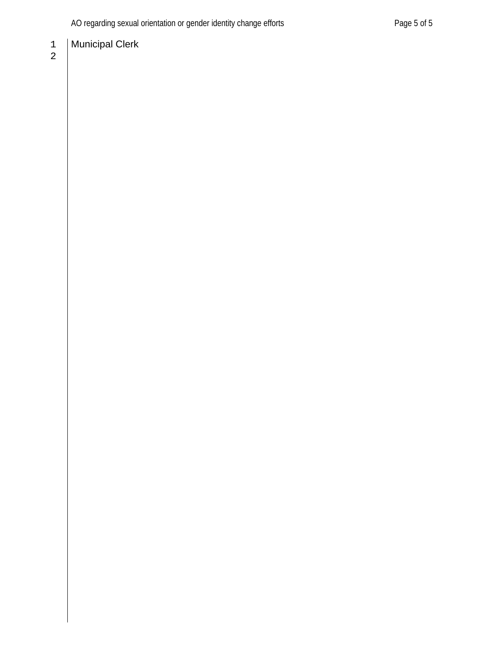# **Municipal Clerk**

 $\begin{array}{c} 1 \\ 2 \end{array}$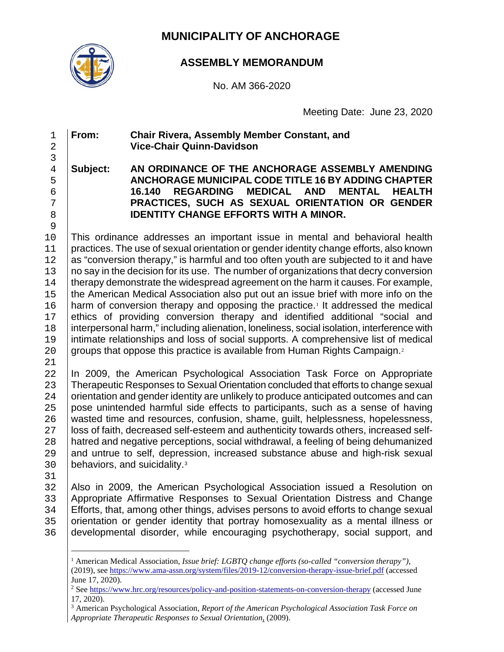## **MUNICIPALITY OF ANCHORAGE**



#### **ASSEMBLY MEMORANDUM**

No. AM 366-2020

Meeting Date: June 23, 2020

#### 1 **From: Chair Rivera, Assembly Member Constant, and**  2 **Vice-Chair Quinn-Davidson**

#### 3 4 **Subject: AN ORDINANCE OF THE ANCHORAGE ASSEMBLY AMENDING**  5 **ANCHORAGE MUNICIPAL CODE TITLE 16 BY ADDING CHAPTER**  6 **16.140 REGARDING MEDICAL**<br>7 **PRACTICES. SUCH AS SEXUAL 0** 7 **PRACTICES, SUCH AS SEXUAL ORIENTATION OR GENDER IDENTITY CHANGE EFFORTS WITH A MINOR.** 9

10 This ordinance addresses an important issue in mental and behavioral health practices. The use of sexual orientation or gender identity change efforts, also known 11 practices. The use of sexual orientation or gender identity change efforts, also known<br>12 as "conversion therapy." is harmful and too often vouth are subiected to it and have 12 as "conversion therapy," is harmful and too often youth are subjected to it and have<br>13 no say in the decision for its use. The number of organizations that decry conversion 13 no say in the decision for its use. The number of organizations that decry conversion<br>14 therapy demonstrate the widespread agreement on the harm it causes. For example. 14 therapy demonstrate the widespread agreement on the harm it causes. For example,<br>15 the American Medical Association also put out an issue brief with more info on the 15 the American Medical Association also put out an issue brief with more info on the 16 harm of conversion therapy and opposing the practice.<sup>1</sup> It addressed the medical [1](#page-5-0)6 | harm of conversion therapy and opposing the practice.<sup>1</sup> It addressed the medical<br>17 | ethics of providing conversion therapy and identified additional "social and ethics of providing conversion therapy and identified additional "social and 18 interpersonal harm," including alienation, loneliness, social isolation, interference with<br>19 intimate relationships and loss of social supports. A comprehensive list of medical 19 intimate relationships and loss of social supports. A comprehensive list of medical  $20$  groups that oppose this practice is available from Human Rights Campaign.<sup>2</sup> groups that oppose this practice is available from Human Rights Campaign.<sup>[2](#page-5-1)</sup>

 $\frac{21}{22}$ 

22 In 2009, the American Psychological Association Task Force on Appropriate<br>23 Therapeutic Responses to Sexual Orientation concluded that efforts to change sexual 23 Therapeutic Responses to Sexual Orientation concluded that efforts to change sexual<br>24 Orientation and gender identity are unlikely to produce anticipated outcomes and can 24 orientation and gender identity are unlikely to produce anticipated outcomes and can<br>25 pose unintended harmful side effects to participants, such as a sense of having pose unintended harmful side effects to participants, such as a sense of having 26 wasted time and resources, confusion, shame, guilt, helplessness, hopelessness, 27 | loss of faith, decreased self-esteem and authenticity towards others, increased self-27 | loss of faith, decreased self-esteem and authenticity towards others, increased self-<br>28 | hatred and negative perceptions, social withdrawal, a feeling of being dehumanized 28 hatred and negative perceptions, social withdrawal, a feeling of being dehumanized<br>29 and untrue to self, depression, increased substance abuse and high-risk sexual 29 and untrue to self, depression, increased substance abuse and high-risk sexual<br>30 behaviors, and suicidality.<sup>3</sup> behaviors, and suicidality. $3$ 

31<br>32

32 | Also in 2009, the American Psychological Association issued a Resolution on<br>33 | Appropriate Affirmative Responses to Sexual Orientation Distress and Change 33 | Appropriate Affirmative Responses to Sexual Orientation Distress and Change<br>34 | Efforts, that, among other things, advises persons to avoid efforts to change sexual 34 Efforts, that, among other things, advises persons to avoid efforts to change sexual<br>35 orientation or gender identity that portray homosexuality as a mental illness or orientation or gender identity that portray homosexuality as a mental illness or 36 developmental disorder, while encouraging psychotherapy, social support, and

<span id="page-5-2"></span><sup>3</sup> American Psychological Association, *Report of the American Psychological Association Task Force on Appropriate Therapeutic Responses to Sexual Orientation*, (2009).

<span id="page-5-0"></span><sup>1</sup> American Medical Association, *Issue brief: LGBTQ change efforts (so-called "conversion therapy")*, (2019), see<https://www.ama-assn.org/system/files/2019-12/conversion-therapy-issue-brief.pdf> (accessed June 17, 2020).

<span id="page-5-1"></span><sup>2</sup> See<https://www.hrc.org/resources/policy-and-position-statements-on-conversion-therapy> (accessed June 17, 2020).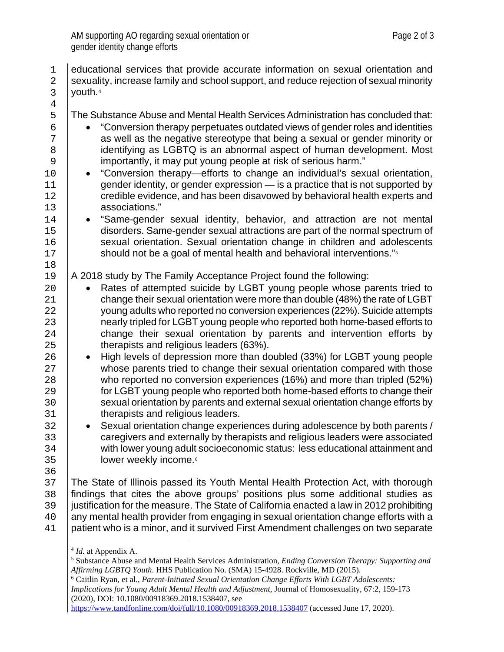| $1\,$<br>$\overline{2}$<br>$\mathbf{3}$                                                            | educational services that provide accurate information on sexual orientation and<br>sexuality, increase family and school support, and reduce rejection of sexual minority<br>youth. <sup>4</sup>                                                                                                                                                                                                                                                                                                                                                                                                                                                                                                                                                                                                                                                                                                                                                                                                                                                                                                                                                                                                   |
|----------------------------------------------------------------------------------------------------|-----------------------------------------------------------------------------------------------------------------------------------------------------------------------------------------------------------------------------------------------------------------------------------------------------------------------------------------------------------------------------------------------------------------------------------------------------------------------------------------------------------------------------------------------------------------------------------------------------------------------------------------------------------------------------------------------------------------------------------------------------------------------------------------------------------------------------------------------------------------------------------------------------------------------------------------------------------------------------------------------------------------------------------------------------------------------------------------------------------------------------------------------------------------------------------------------------|
| $\overline{4}$                                                                                     |                                                                                                                                                                                                                                                                                                                                                                                                                                                                                                                                                                                                                                                                                                                                                                                                                                                                                                                                                                                                                                                                                                                                                                                                     |
| 5<br>$\epsilon$<br>7<br>$\,8\,$<br>9<br>10<br>11<br>12                                             | The Substance Abuse and Mental Health Services Administration has concluded that:<br>"Conversion therapy perpetuates outdated views of gender roles and identities<br>$\bullet$<br>as well as the negative stereotype that being a sexual or gender minority or<br>identifying as LGBTQ is an abnormal aspect of human development. Most<br>importantly, it may put young people at risk of serious harm."<br>"Conversion therapy—efforts to change an individual's sexual orientation,<br>$\bullet$<br>gender identity, or gender expression - is a practice that is not supported by<br>credible evidence, and has been disavowed by behavioral health experts and                                                                                                                                                                                                                                                                                                                                                                                                                                                                                                                                |
| 13                                                                                                 | associations."                                                                                                                                                                                                                                                                                                                                                                                                                                                                                                                                                                                                                                                                                                                                                                                                                                                                                                                                                                                                                                                                                                                                                                                      |
| 14<br>15<br>16<br>17<br>18                                                                         | "Same-gender sexual identity, behavior, and attraction are not mental<br>$\bullet$<br>disorders. Same-gender sexual attractions are part of the normal spectrum of<br>sexual orientation. Sexual orientation change in children and adolescents<br>should not be a goal of mental health and behavioral interventions." <sup>5</sup>                                                                                                                                                                                                                                                                                                                                                                                                                                                                                                                                                                                                                                                                                                                                                                                                                                                                |
| 19                                                                                                 | A 2018 study by The Family Acceptance Project found the following:                                                                                                                                                                                                                                                                                                                                                                                                                                                                                                                                                                                                                                                                                                                                                                                                                                                                                                                                                                                                                                                                                                                                  |
| 20<br>21<br>22<br>23<br>24<br>25<br>26<br>27<br>28<br>29<br>30<br>31<br>32<br>33<br>34<br>35<br>36 | Rates of attempted suicide by LGBT young people whose parents tried to<br>change their sexual orientation were more than double (48%) the rate of LGBT<br>young adults who reported no conversion experiences (22%). Suicide attempts<br>nearly tripled for LGBT young people who reported both home-based efforts to<br>change their sexual orientation by parents and intervention efforts by<br>therapists and religious leaders (63%).<br>High levels of depression more than doubled (33%) for LGBT young people<br>$\bullet$<br>whose parents tried to change their sexual orientation compared with those<br>who reported no conversion experiences (16%) and more than tripled (52%)<br>for LGBT young people who reported both home-based efforts to change their<br>sexual orientation by parents and external sexual orientation change efforts by<br>therapists and religious leaders.<br>Sexual orientation change experiences during adolescence by both parents /<br>$\bullet$<br>caregivers and externally by therapists and religious leaders were associated<br>with lower young adult socioeconomic status: less educational attainment and<br>lower weekly income. <sup>6</sup> |
| 37<br>38<br>39<br>40<br>41                                                                         | The State of Illinois passed its Youth Mental Health Protection Act, with thorough<br>findings that cites the above groups' positions plus some additional studies as<br>justification for the measure. The State of California enacted a law in 2012 prohibiting<br>any mental health provider from engaging in sexual orientation change efforts with a<br>patient who is a minor, and it survived First Amendment challenges on two separate                                                                                                                                                                                                                                                                                                                                                                                                                                                                                                                                                                                                                                                                                                                                                     |
|                                                                                                    | $4$ <i>Id.</i> at Appendix A.                                                                                                                                                                                                                                                                                                                                                                                                                                                                                                                                                                                                                                                                                                                                                                                                                                                                                                                                                                                                                                                                                                                                                                       |

<span id="page-6-2"></span><sup>6</sup> Caitlin Ryan, et al., *Parent-Initiated Sexual Orientation Change Efforts With LGBT Adolescents: Implications for Young Adult Mental Health and Adjustment*, Journal of Homosexuality, 67:2, 159-173 (2020), DOI: 10.1080/00918369.2018.1538407, see

<span id="page-6-1"></span><span id="page-6-0"></span><sup>5</sup> Substance Abuse and Mental Health Services Administration, *Ending Conversion Therapy: Supporting and Affirming LGBTQ Youth*. HHS Publication No. (SMA) 15-4928. Rockville, MD (2015).

<https://www.tandfonline.com/doi/full/10.1080/00918369.2018.1538407> (accessed June 17, 2020).